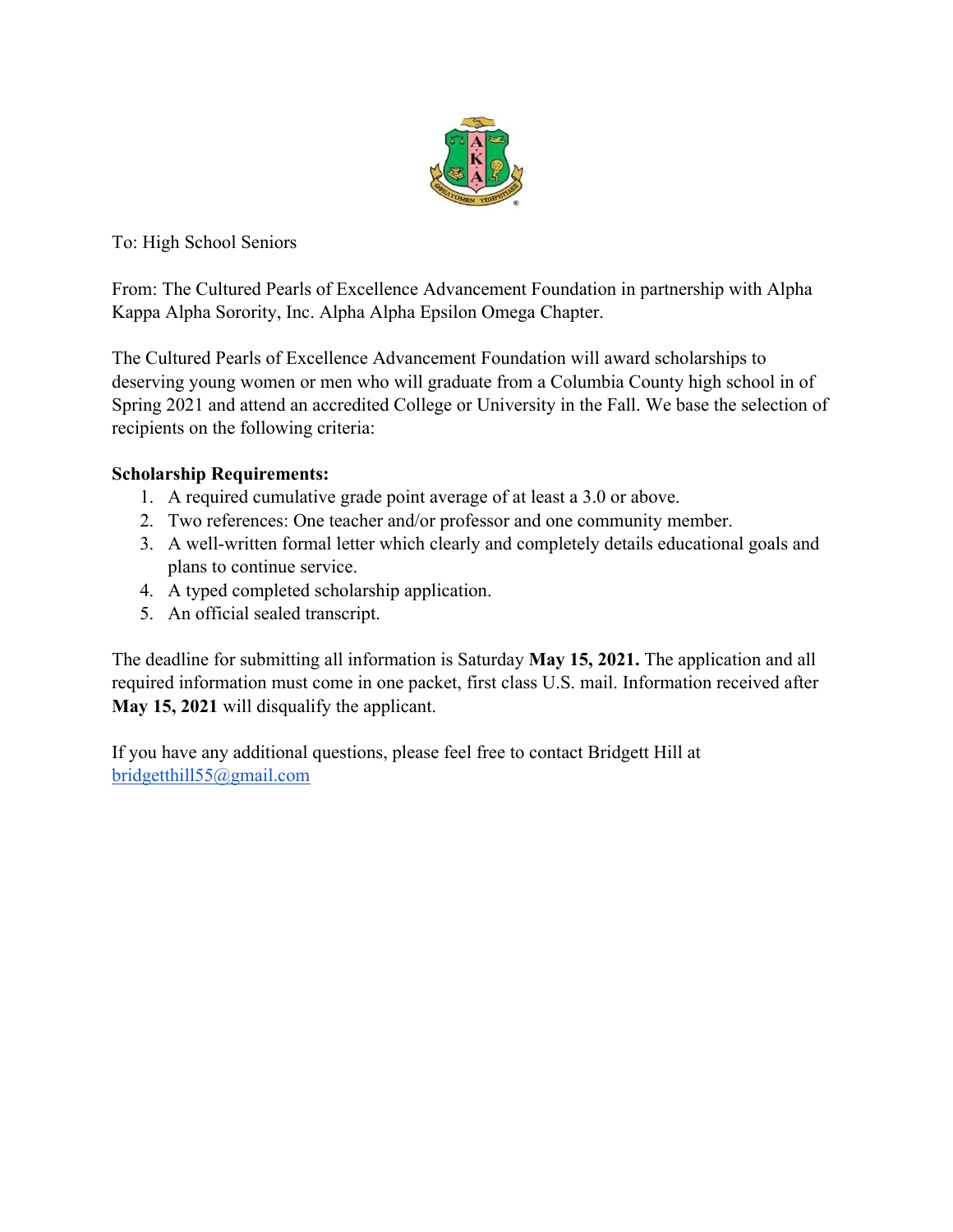

To: High School Seniors

From: The Cultured Pearls of Excellence Advancement Foundation in partnership with Alpha Kappa Alpha Sorority, Inc. Alpha Alpha Epsilon Omega Chapter.

The Cultured Pearls of Excellence Advancement Foundation will award scholarships to deserving young women or men who will graduate from a Columbia County high school in of Spring 2021 and attend an accredited College or University in the Fall. We base the selection of recipients on the following criteria:

## **Scholarship Requirements:**

- 1. A required cumulative grade point average of at least a 3.0 or above.
- 2. Two references: One teacher and/or professor and one community member.
- 3. A well-written formal letter which clearly and completely details educational goals and plans to continue service.
- 4. A typed completed scholarship application.
- 5. An official sealed transcript.

The deadline for submitting all information is Saturday **May 15, 2021.** The application and all required information must come in one packet, first class U.S. mail. Information received after **May 15, 2021** will disqualify the applicant.

If you have any additional questions, please feel free to contact Bridgett Hill at bridgetthill55@gmail.com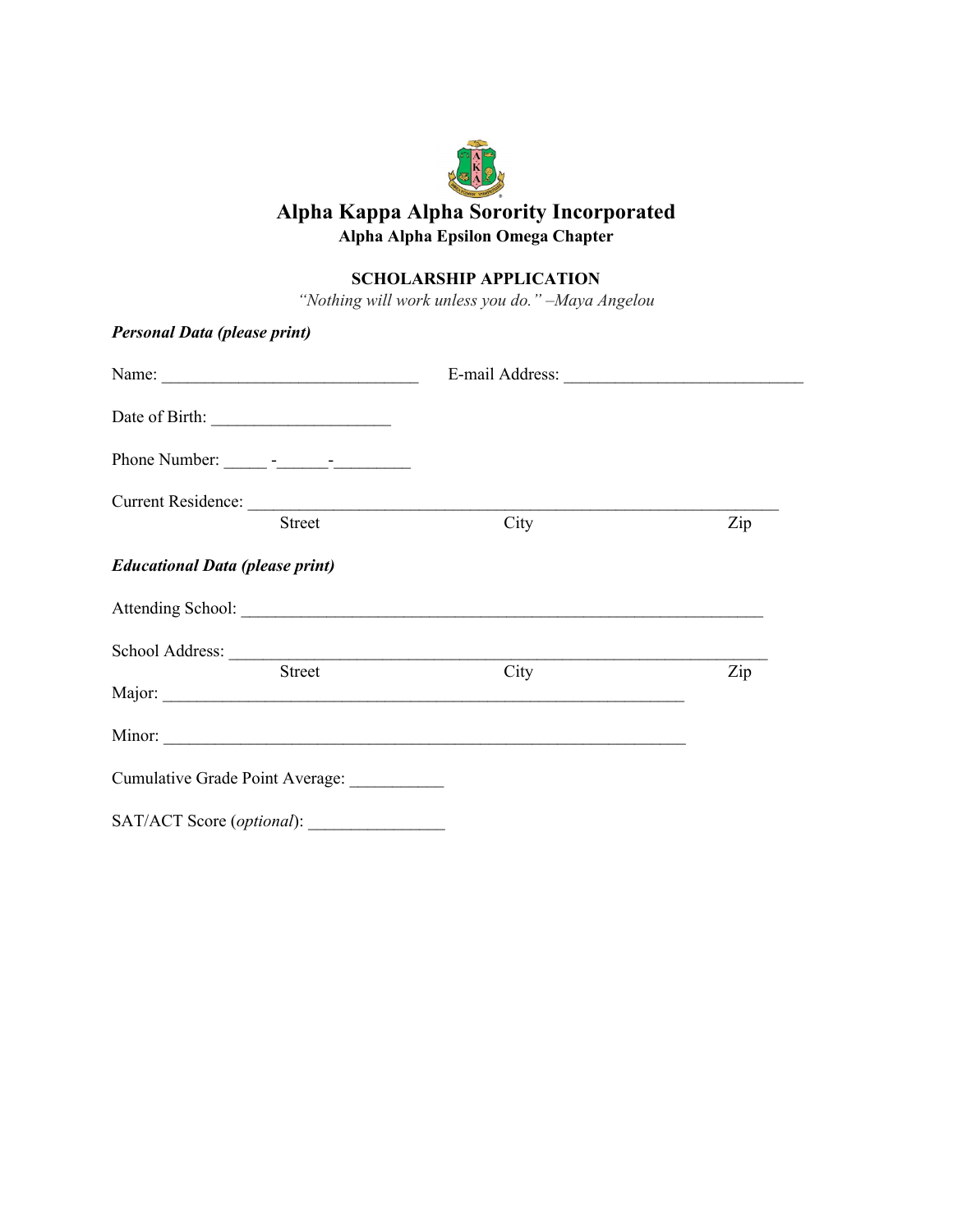# **Alpha Kappa Alpha Sorority Incorporated Alpha Alpha Epsilon Omega Chapter**

## **SCHOLARSHIP APPLICATION**

*"Nothing will work unless you do." –Maya Angelou*

| <b>Personal Data (please print)</b>         |      |     |
|---------------------------------------------|------|-----|
|                                             |      |     |
|                                             |      |     |
|                                             |      |     |
| Current Residence:<br>Street                | City | Zip |
| <b>Educational Data (please print)</b>      |      |     |
|                                             |      |     |
|                                             |      |     |
| Street                                      | City | Zip |
|                                             |      |     |
| Cumulative Grade Point Average: ___________ |      |     |
|                                             |      |     |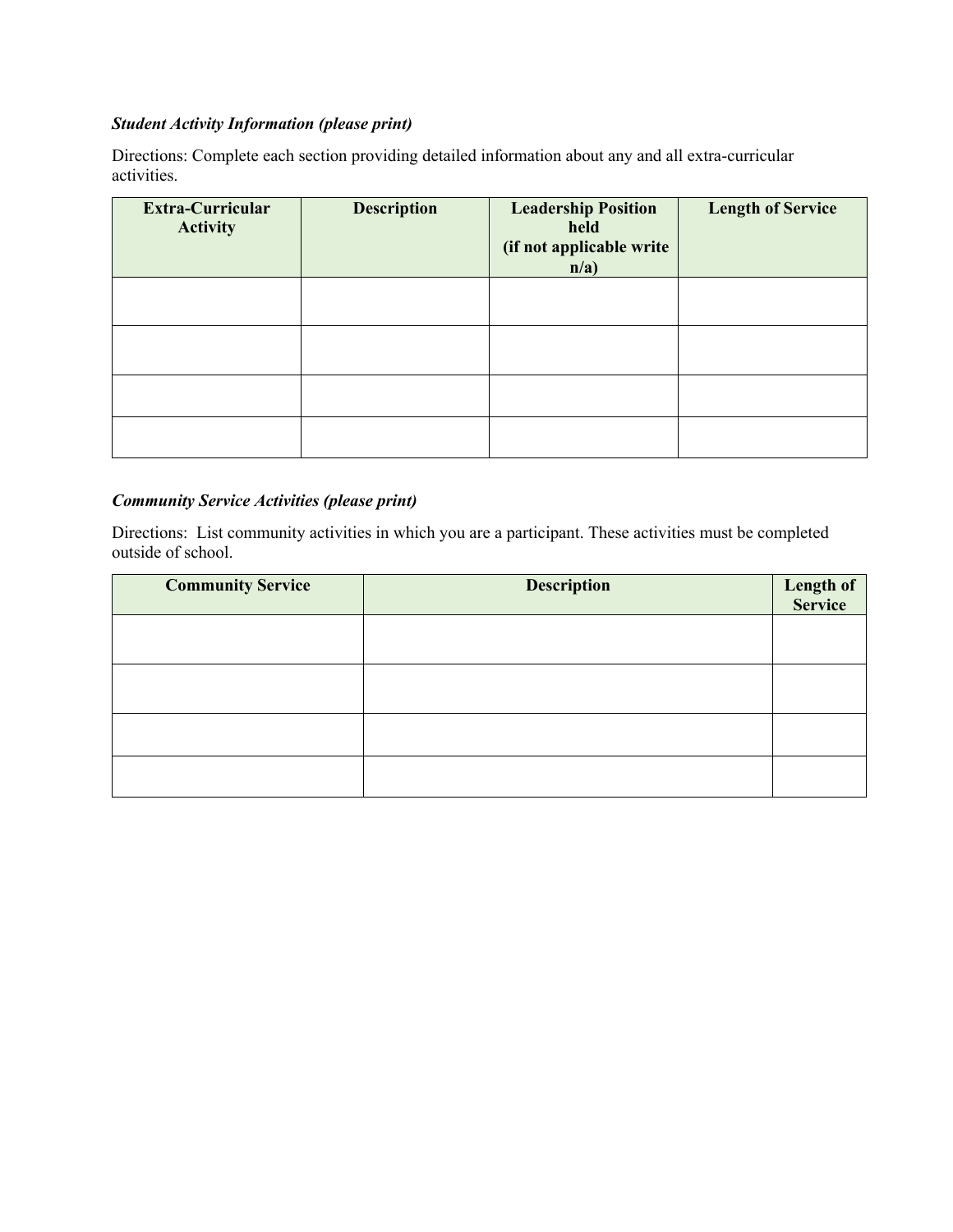## *Student Activity Information (please print)*

Directions: Complete each section providing detailed information about any and all extra-curricular activities.

| <b>Extra-Curricular</b><br><b>Activity</b> | <b>Description</b> | <b>Leadership Position</b><br>held<br>(if not applicable write<br>n/a) | <b>Length of Service</b> |
|--------------------------------------------|--------------------|------------------------------------------------------------------------|--------------------------|
|                                            |                    |                                                                        |                          |
|                                            |                    |                                                                        |                          |
|                                            |                    |                                                                        |                          |
|                                            |                    |                                                                        |                          |

### *Community Service Activities (please print)*

Directions: List community activities in which you are a participant. These activities must be completed outside of school.

| <b>Community Service</b> | <b>Description</b> | <b>Length of</b><br>Service |
|--------------------------|--------------------|-----------------------------|
|                          |                    |                             |
|                          |                    |                             |
|                          |                    |                             |
|                          |                    |                             |